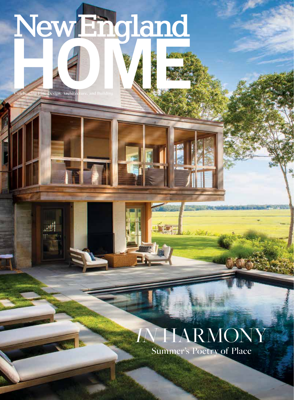NewEngland

**LET** 

**Celebrating Fine Design, Architecture, and Building**

Display until September 6, 2021

nehomemag.com

July-August 2021

## *IN* HARMONY Summer's Poetry of Place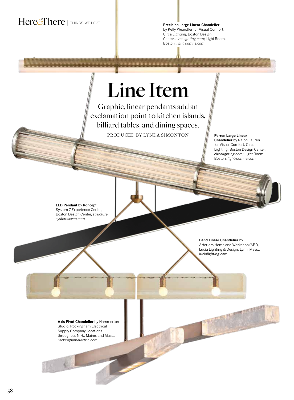## **Here<sup>&</sup>There** | THINGS WE LOVE

**Precision Large Linear Chandelier**  by Kelly Wearstler for Visual Comfort, Circa Lighting, Boston Design Center, *circalighting.com*; Light Room, Boston, *lightroomne.com*

## **Line Item**

Graphic, linear pendants add an exclamation point to kitchen islands, billiard tables, and dining spaces. PRODUCED BY LYNDA SIMONTON

**Perren Large Linear Chandelier** by Ralph Lauren for Visual Comfort, Circa Lighting, Boston Design Center, *circalighting.com;* Light Room, Boston, *lightroomne.com*

**LED Pendant** by Koncept, System 7 Experience Center, Boston Design Center, *structure. systemseven.com*

> **Bend Linear Chandelier** by Arteriors Home and Workshop/APD, Lucía Lighting & Design, Lynn, Mass., *lucialighting.com*

**Axis Pivot Chandelier** by Hammerton Studio, Rockingham Electrical Supply Company, locations throughout N.H., Maine, and Mass., *rockinghamelectric.com*